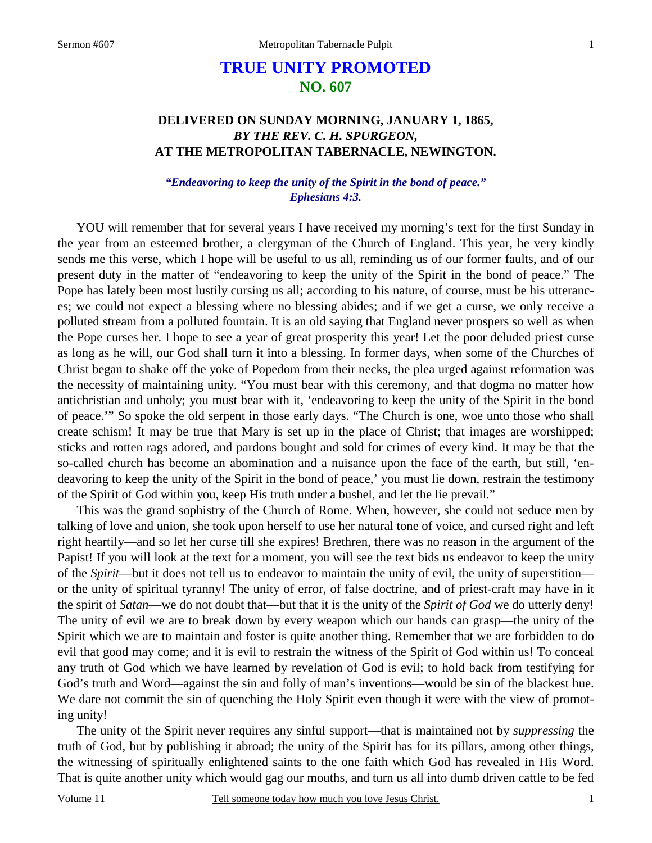# **TRUE UNITY PROMOTED NO. 607**

## **DELIVERED ON SUNDAY MORNING, JANUARY 1, 1865,**  *BY THE REV. C. H. SPURGEON,*  **AT THE METROPOLITAN TABERNACLE, NEWINGTON.**

### *"Endeavoring to keep the unity of the Spirit in the bond of peace." Ephesians 4:3.*

 YOU will remember that for several years I have received my morning's text for the first Sunday in the year from an esteemed brother, a clergyman of the Church of England. This year, he very kindly sends me this verse, which I hope will be useful to us all, reminding us of our former faults, and of our present duty in the matter of "endeavoring to keep the unity of the Spirit in the bond of peace." The Pope has lately been most lustily cursing us all; according to his nature, of course, must be his utterances; we could not expect a blessing where no blessing abides; and if we get a curse, we only receive a polluted stream from a polluted fountain. It is an old saying that England never prospers so well as when the Pope curses her. I hope to see a year of great prosperity this year! Let the poor deluded priest curse as long as he will, our God shall turn it into a blessing. In former days, when some of the Churches of Christ began to shake off the yoke of Popedom from their necks, the plea urged against reformation was the necessity of maintaining unity. "You must bear with this ceremony, and that dogma no matter how antichristian and unholy; you must bear with it, 'endeavoring to keep the unity of the Spirit in the bond of peace.'" So spoke the old serpent in those early days. "The Church is one, woe unto those who shall create schism! It may be true that Mary is set up in the place of Christ; that images are worshipped; sticks and rotten rags adored, and pardons bought and sold for crimes of every kind. It may be that the so-called church has become an abomination and a nuisance upon the face of the earth, but still, 'endeavoring to keep the unity of the Spirit in the bond of peace,' you must lie down, restrain the testimony of the Spirit of God within you, keep His truth under a bushel, and let the lie prevail."

 This was the grand sophistry of the Church of Rome. When, however, she could not seduce men by talking of love and union, she took upon herself to use her natural tone of voice, and cursed right and left right heartily—and so let her curse till she expires! Brethren, there was no reason in the argument of the Papist! If you will look at the text for a moment, you will see the text bids us endeavor to keep the unity of the *Spirit*—but it does not tell us to endeavor to maintain the unity of evil, the unity of superstition or the unity of spiritual tyranny! The unity of error, of false doctrine, and of priest-craft may have in it the spirit of *Satan*—we do not doubt that—but that it is the unity of the *Spirit of God* we do utterly deny! The unity of evil we are to break down by every weapon which our hands can grasp—the unity of the Spirit which we are to maintain and foster is quite another thing. Remember that we are forbidden to do evil that good may come; and it is evil to restrain the witness of the Spirit of God within us! To conceal any truth of God which we have learned by revelation of God is evil; to hold back from testifying for God's truth and Word—against the sin and folly of man's inventions—would be sin of the blackest hue. We dare not commit the sin of quenching the Holy Spirit even though it were with the view of promoting unity!

 The unity of the Spirit never requires any sinful support—that is maintained not by *suppressing* the truth of God, but by publishing it abroad; the unity of the Spirit has for its pillars, among other things, the witnessing of spiritually enlightened saints to the one faith which God has revealed in His Word. That is quite another unity which would gag our mouths, and turn us all into dumb driven cattle to be fed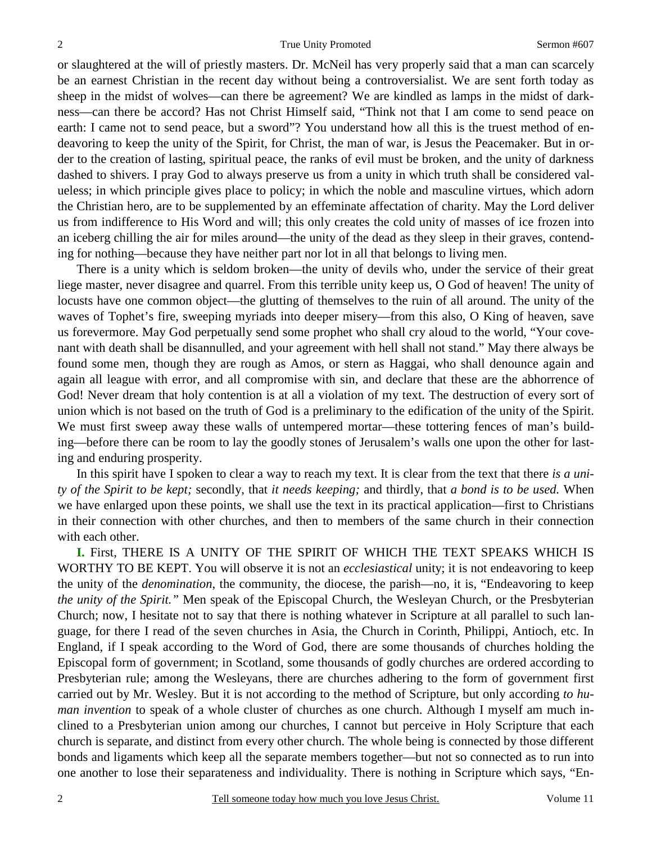or slaughtered at the will of priestly masters. Dr. McNeil has very properly said that a man can scarcely be an earnest Christian in the recent day without being a controversialist. We are sent forth today as sheep in the midst of wolves—can there be agreement? We are kindled as lamps in the midst of darkness—can there be accord? Has not Christ Himself said, "Think not that I am come to send peace on earth: I came not to send peace, but a sword"? You understand how all this is the truest method of endeavoring to keep the unity of the Spirit, for Christ, the man of war, is Jesus the Peacemaker. But in order to the creation of lasting, spiritual peace, the ranks of evil must be broken, and the unity of darkness dashed to shivers. I pray God to always preserve us from a unity in which truth shall be considered valueless; in which principle gives place to policy; in which the noble and masculine virtues, which adorn the Christian hero, are to be supplemented by an effeminate affectation of charity. May the Lord deliver us from indifference to His Word and will; this only creates the cold unity of masses of ice frozen into an iceberg chilling the air for miles around—the unity of the dead as they sleep in their graves, contending for nothing—because they have neither part nor lot in all that belongs to living men.

 There is a unity which is seldom broken—the unity of devils who, under the service of their great liege master, never disagree and quarrel. From this terrible unity keep us, O God of heaven! The unity of locusts have one common object—the glutting of themselves to the ruin of all around. The unity of the waves of Tophet's fire, sweeping myriads into deeper misery—from this also, O King of heaven, save us forevermore. May God perpetually send some prophet who shall cry aloud to the world, "Your covenant with death shall be disannulled, and your agreement with hell shall not stand." May there always be found some men, though they are rough as Amos, or stern as Haggai, who shall denounce again and again all league with error, and all compromise with sin, and declare that these are the abhorrence of God! Never dream that holy contention is at all a violation of my text. The destruction of every sort of union which is not based on the truth of God is a preliminary to the edification of the unity of the Spirit. We must first sweep away these walls of untempered mortar—these tottering fences of man's building—before there can be room to lay the goodly stones of Jerusalem's walls one upon the other for lasting and enduring prosperity.

 In this spirit have I spoken to clear a way to reach my text. It is clear from the text that there *is a unity of the Spirit to be kept;* secondly, that *it needs keeping;* and thirdly, that *a bond is to be used.* When we have enlarged upon these points, we shall use the text in its practical application—first to Christians in their connection with other churches, and then to members of the same church in their connection with each other.

**I.** First, THERE IS A UNITY OF THE SPIRIT OF WHICH THE TEXT SPEAKS WHICH IS WORTHY TO BE KEPT. You will observe it is not an *ecclesiastical* unity; it is not endeavoring to keep the unity of the *denomination*, the community, the diocese, the parish—no, it is, "Endeavoring to keep *the unity of the Spirit."* Men speak of the Episcopal Church, the Wesleyan Church, or the Presbyterian Church; now, I hesitate not to say that there is nothing whatever in Scripture at all parallel to such language, for there I read of the seven churches in Asia, the Church in Corinth, Philippi, Antioch, etc. In England, if I speak according to the Word of God, there are some thousands of churches holding the Episcopal form of government; in Scotland, some thousands of godly churches are ordered according to Presbyterian rule; among the Wesleyans, there are churches adhering to the form of government first carried out by Mr. Wesley. But it is not according to the method of Scripture, but only according *to human invention* to speak of a whole cluster of churches as one church. Although I myself am much inclined to a Presbyterian union among our churches, I cannot but perceive in Holy Scripture that each church is separate, and distinct from every other church. The whole being is connected by those different bonds and ligaments which keep all the separate members together—but not so connected as to run into one another to lose their separateness and individuality. There is nothing in Scripture which says, "En-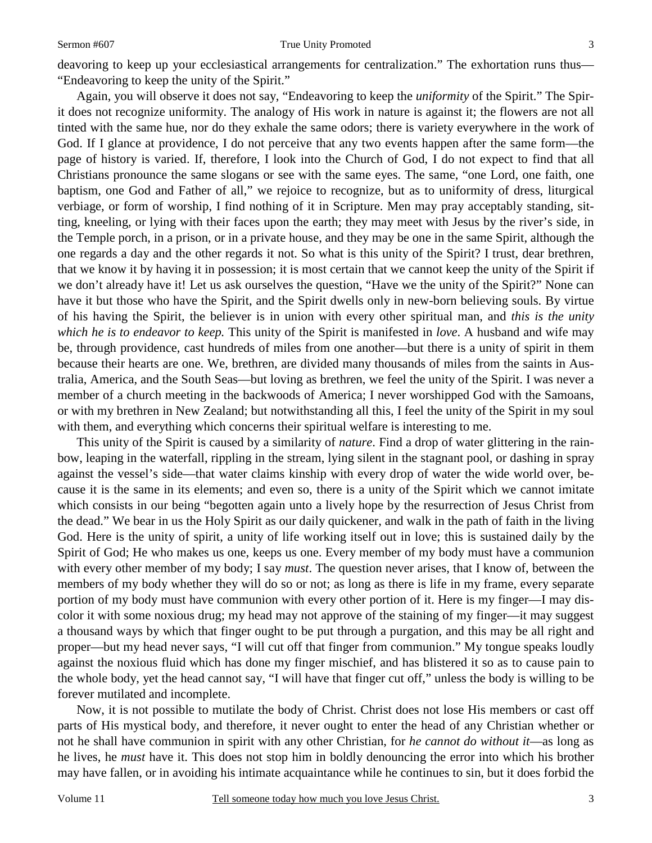#### Sermon #607 True Unity Promoted

deavoring to keep up your ecclesiastical arrangements for centralization." The exhortation runs thus— "Endeavoring to keep the unity of the Spirit."

 Again, you will observe it does not say, "Endeavoring to keep the *uniformity* of the Spirit." The Spirit does not recognize uniformity. The analogy of His work in nature is against it; the flowers are not all tinted with the same hue, nor do they exhale the same odors; there is variety everywhere in the work of God. If I glance at providence, I do not perceive that any two events happen after the same form—the page of history is varied. If, therefore, I look into the Church of God, I do not expect to find that all Christians pronounce the same slogans or see with the same eyes. The same, "one Lord, one faith, one baptism, one God and Father of all," we rejoice to recognize, but as to uniformity of dress, liturgical verbiage, or form of worship, I find nothing of it in Scripture. Men may pray acceptably standing, sitting, kneeling, or lying with their faces upon the earth; they may meet with Jesus by the river's side, in the Temple porch, in a prison, or in a private house, and they may be one in the same Spirit, although the one regards a day and the other regards it not. So what is this unity of the Spirit? I trust, dear brethren, that we know it by having it in possession; it is most certain that we cannot keep the unity of the Spirit if we don't already have it! Let us ask ourselves the question, "Have we the unity of the Spirit?" None can have it but those who have the Spirit, and the Spirit dwells only in new-born believing souls. By virtue of his having the Spirit, the believer is in union with every other spiritual man, and *this is the unity which he is to endeavor to keep.* This unity of the Spirit is manifested in *love*. A husband and wife may be, through providence, cast hundreds of miles from one another—but there is a unity of spirit in them because their hearts are one. We, brethren, are divided many thousands of miles from the saints in Australia, America, and the South Seas—but loving as brethren, we feel the unity of the Spirit. I was never a member of a church meeting in the backwoods of America; I never worshipped God with the Samoans, or with my brethren in New Zealand; but notwithstanding all this, I feel the unity of the Spirit in my soul with them, and everything which concerns their spiritual welfare is interesting to me.

 This unity of the Spirit is caused by a similarity of *nature*. Find a drop of water glittering in the rainbow, leaping in the waterfall, rippling in the stream, lying silent in the stagnant pool, or dashing in spray against the vessel's side—that water claims kinship with every drop of water the wide world over, because it is the same in its elements; and even so, there is a unity of the Spirit which we cannot imitate which consists in our being "begotten again unto a lively hope by the resurrection of Jesus Christ from the dead." We bear in us the Holy Spirit as our daily quickener, and walk in the path of faith in the living God. Here is the unity of spirit, a unity of life working itself out in love; this is sustained daily by the Spirit of God; He who makes us one, keeps us one. Every member of my body must have a communion with every other member of my body; I say *must*. The question never arises, that I know of, between the members of my body whether they will do so or not; as long as there is life in my frame, every separate portion of my body must have communion with every other portion of it. Here is my finger—I may discolor it with some noxious drug; my head may not approve of the staining of my finger—it may suggest a thousand ways by which that finger ought to be put through a purgation, and this may be all right and proper—but my head never says, "I will cut off that finger from communion." My tongue speaks loudly against the noxious fluid which has done my finger mischief, and has blistered it so as to cause pain to the whole body, yet the head cannot say, "I will have that finger cut off," unless the body is willing to be forever mutilated and incomplete.

 Now, it is not possible to mutilate the body of Christ. Christ does not lose His members or cast off parts of His mystical body, and therefore, it never ought to enter the head of any Christian whether or not he shall have communion in spirit with any other Christian, for *he cannot do without it*—as long as he lives, he *must* have it. This does not stop him in boldly denouncing the error into which his brother may have fallen, or in avoiding his intimate acquaintance while he continues to sin, but it does forbid the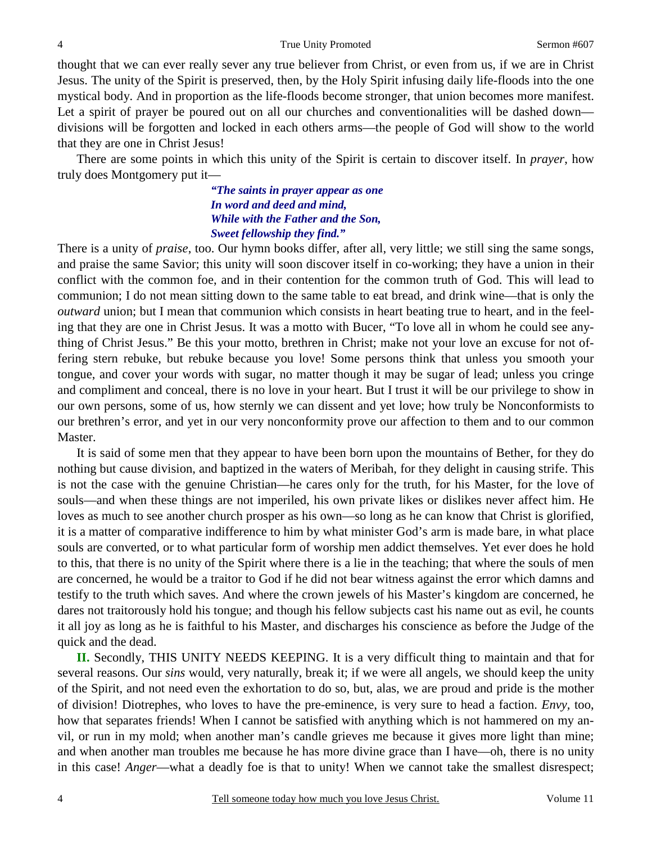thought that we can ever really sever any true believer from Christ, or even from us, if we are in Christ Jesus. The unity of the Spirit is preserved, then, by the Holy Spirit infusing daily life-floods into the one mystical body. And in proportion as the life-floods become stronger, that union becomes more manifest. Let a spirit of prayer be poured out on all our churches and conventionalities will be dashed down divisions will be forgotten and locked in each others arms—the people of God will show to the world that they are one in Christ Jesus!

There are some points in which this unity of the Spirit is certain to discover itself. In *prayer*, how truly does Montgomery put it—

> *"The saints in prayer appear as one In word and deed and mind, While with the Father and the Son, Sweet fellowship they find."*

There is a unity of *praise*, too. Our hymn books differ, after all, very little; we still sing the same songs, and praise the same Savior; this unity will soon discover itself in co-working; they have a union in their conflict with the common foe, and in their contention for the common truth of God. This will lead to communion; I do not mean sitting down to the same table to eat bread, and drink wine—that is only the *outward* union; but I mean that communion which consists in heart beating true to heart, and in the feeling that they are one in Christ Jesus. It was a motto with Bucer, "To love all in whom he could see anything of Christ Jesus." Be this your motto, brethren in Christ; make not your love an excuse for not offering stern rebuke, but rebuke because you love! Some persons think that unless you smooth your tongue, and cover your words with sugar, no matter though it may be sugar of lead; unless you cringe and compliment and conceal, there is no love in your heart. But I trust it will be our privilege to show in our own persons, some of us, how sternly we can dissent and yet love; how truly be Nonconformists to our brethren's error, and yet in our very nonconformity prove our affection to them and to our common Master.

 It is said of some men that they appear to have been born upon the mountains of Bether, for they do nothing but cause division, and baptized in the waters of Meribah, for they delight in causing strife. This is not the case with the genuine Christian—he cares only for the truth, for his Master, for the love of souls—and when these things are not imperiled, his own private likes or dislikes never affect him. He loves as much to see another church prosper as his own—so long as he can know that Christ is glorified, it is a matter of comparative indifference to him by what minister God's arm is made bare, in what place souls are converted, or to what particular form of worship men addict themselves. Yet ever does he hold to this, that there is no unity of the Spirit where there is a lie in the teaching; that where the souls of men are concerned, he would be a traitor to God if he did not bear witness against the error which damns and testify to the truth which saves. And where the crown jewels of his Master's kingdom are concerned, he dares not traitorously hold his tongue; and though his fellow subjects cast his name out as evil, he counts it all joy as long as he is faithful to his Master, and discharges his conscience as before the Judge of the quick and the dead.

**II.** Secondly, THIS UNITY NEEDS KEEPING. It is a very difficult thing to maintain and that for several reasons. Our *sins* would, very naturally, break it; if we were all angels, we should keep the unity of the Spirit, and not need even the exhortation to do so, but, alas, we are proud and pride is the mother of division! Diotrephes, who loves to have the pre-eminence, is very sure to head a faction. *Envy,* too, how that separates friends! When I cannot be satisfied with anything which is not hammered on my anvil, or run in my mold; when another man's candle grieves me because it gives more light than mine; and when another man troubles me because he has more divine grace than I have—oh, there is no unity in this case! *Anger*—what a deadly foe is that to unity! When we cannot take the smallest disrespect;

4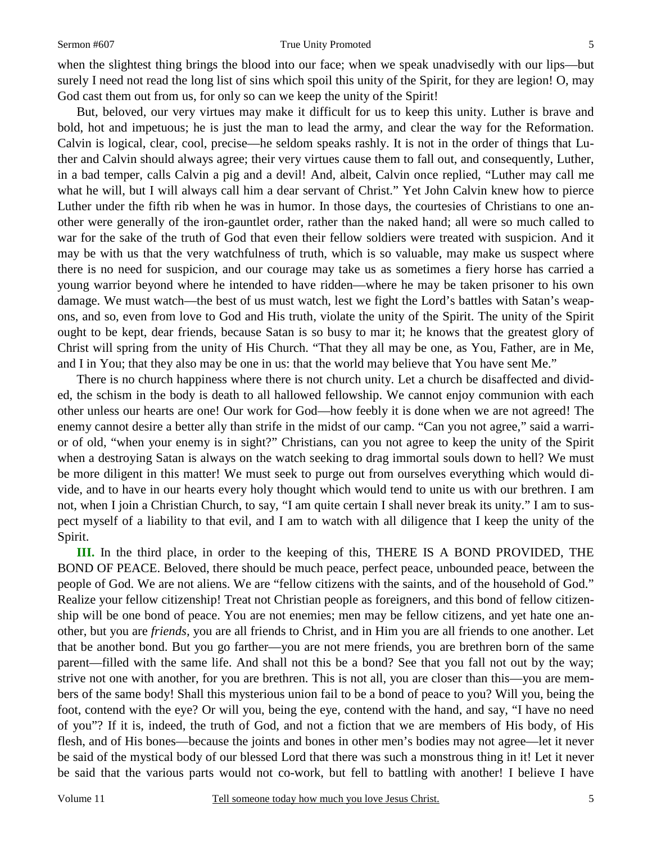#### Sermon #607 True Unity Promoted

when the slightest thing brings the blood into our face; when we speak unadvisedly with our lips—but surely I need not read the long list of sins which spoil this unity of the Spirit, for they are legion! O, may God cast them out from us, for only so can we keep the unity of the Spirit!

 But, beloved, our very virtues may make it difficult for us to keep this unity. Luther is brave and bold, hot and impetuous; he is just the man to lead the army, and clear the way for the Reformation. Calvin is logical, clear, cool, precise—he seldom speaks rashly. It is not in the order of things that Luther and Calvin should always agree; their very virtues cause them to fall out, and consequently, Luther, in a bad temper, calls Calvin a pig and a devil! And, albeit, Calvin once replied, "Luther may call me what he will, but I will always call him a dear servant of Christ." Yet John Calvin knew how to pierce Luther under the fifth rib when he was in humor. In those days, the courtesies of Christians to one another were generally of the iron-gauntlet order, rather than the naked hand; all were so much called to war for the sake of the truth of God that even their fellow soldiers were treated with suspicion. And it may be with us that the very watchfulness of truth, which is so valuable, may make us suspect where there is no need for suspicion, and our courage may take us as sometimes a fiery horse has carried a young warrior beyond where he intended to have ridden—where he may be taken prisoner to his own damage. We must watch—the best of us must watch, lest we fight the Lord's battles with Satan's weapons, and so, even from love to God and His truth, violate the unity of the Spirit. The unity of the Spirit ought to be kept, dear friends, because Satan is so busy to mar it; he knows that the greatest glory of Christ will spring from the unity of His Church. "That they all may be one, as You, Father, are in Me, and I in You; that they also may be one in us: that the world may believe that You have sent Me."

 There is no church happiness where there is not church unity. Let a church be disaffected and divided, the schism in the body is death to all hallowed fellowship. We cannot enjoy communion with each other unless our hearts are one! Our work for God—how feebly it is done when we are not agreed! The enemy cannot desire a better ally than strife in the midst of our camp. "Can you not agree," said a warrior of old, "when your enemy is in sight?" Christians, can you not agree to keep the unity of the Spirit when a destroying Satan is always on the watch seeking to drag immortal souls down to hell? We must be more diligent in this matter! We must seek to purge out from ourselves everything which would divide, and to have in our hearts every holy thought which would tend to unite us with our brethren. I am not, when I join a Christian Church, to say, "I am quite certain I shall never break its unity." I am to suspect myself of a liability to that evil, and I am to watch with all diligence that I keep the unity of the Spirit.

**III.** In the third place, in order to the keeping of this, THERE IS A BOND PROVIDED, THE BOND OF PEACE. Beloved, there should be much peace, perfect peace, unbounded peace, between the people of God. We are not aliens. We are "fellow citizens with the saints, and of the household of God." Realize your fellow citizenship! Treat not Christian people as foreigners, and this bond of fellow citizenship will be one bond of peace. You are not enemies; men may be fellow citizens, and yet hate one another, but you are *friends,* you are all friends to Christ, and in Him you are all friends to one another. Let that be another bond. But you go farther—you are not mere friends, you are brethren born of the same parent—filled with the same life. And shall not this be a bond? See that you fall not out by the way; strive not one with another, for you are brethren. This is not all, you are closer than this—you are members of the same body! Shall this mysterious union fail to be a bond of peace to you? Will you, being the foot, contend with the eye? Or will you, being the eye, contend with the hand, and say, "I have no need of you"? If it is, indeed, the truth of God, and not a fiction that we are members of His body, of His flesh, and of His bones—because the joints and bones in other men's bodies may not agree—let it never be said of the mystical body of our blessed Lord that there was such a monstrous thing in it! Let it never be said that the various parts would not co-work, but fell to battling with another! I believe I have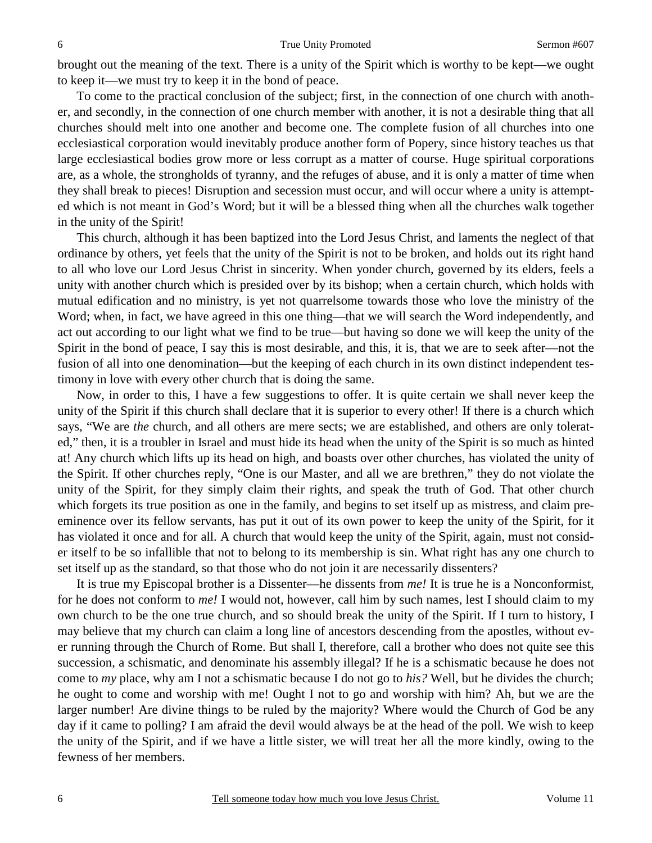brought out the meaning of the text. There is a unity of the Spirit which is worthy to be kept—we ought to keep it—we must try to keep it in the bond of peace.

 To come to the practical conclusion of the subject; first, in the connection of one church with another, and secondly, in the connection of one church member with another, it is not a desirable thing that all churches should melt into one another and become one. The complete fusion of all churches into one ecclesiastical corporation would inevitably produce another form of Popery, since history teaches us that large ecclesiastical bodies grow more or less corrupt as a matter of course. Huge spiritual corporations are, as a whole, the strongholds of tyranny, and the refuges of abuse, and it is only a matter of time when they shall break to pieces! Disruption and secession must occur, and will occur where a unity is attempted which is not meant in God's Word; but it will be a blessed thing when all the churches walk together in the unity of the Spirit!

This church, although it has been baptized into the Lord Jesus Christ, and laments the neglect of that ordinance by others, yet feels that the unity of the Spirit is not to be broken, and holds out its right hand to all who love our Lord Jesus Christ in sincerity. When yonder church, governed by its elders, feels a unity with another church which is presided over by its bishop; when a certain church, which holds with mutual edification and no ministry, is yet not quarrelsome towards those who love the ministry of the Word; when, in fact, we have agreed in this one thing—that we will search the Word independently, and act out according to our light what we find to be true—but having so done we will keep the unity of the Spirit in the bond of peace, I say this is most desirable, and this, it is, that we are to seek after—not the fusion of all into one denomination—but the keeping of each church in its own distinct independent testimony in love with every other church that is doing the same.

 Now, in order to this, I have a few suggestions to offer. It is quite certain we shall never keep the unity of the Spirit if this church shall declare that it is superior to every other! If there is a church which says, "We are *the* church, and all others are mere sects; we are established, and others are only tolerated," then, it is a troubler in Israel and must hide its head when the unity of the Spirit is so much as hinted at! Any church which lifts up its head on high, and boasts over other churches, has violated the unity of the Spirit. If other churches reply, "One is our Master, and all we are brethren," they do not violate the unity of the Spirit, for they simply claim their rights, and speak the truth of God. That other church which forgets its true position as one in the family, and begins to set itself up as mistress, and claim preeminence over its fellow servants, has put it out of its own power to keep the unity of the Spirit, for it has violated it once and for all. A church that would keep the unity of the Spirit, again, must not consider itself to be so infallible that not to belong to its membership is sin. What right has any one church to set itself up as the standard, so that those who do not join it are necessarily dissenters?

 It is true my Episcopal brother is a Dissenter—he dissents from *me!* It is true he is a Nonconformist, for he does not conform to *me!* I would not, however, call him by such names, lest I should claim to my own church to be the one true church, and so should break the unity of the Spirit. If I turn to history, I may believe that my church can claim a long line of ancestors descending from the apostles, without ever running through the Church of Rome. But shall I, therefore, call a brother who does not quite see this succession, a schismatic, and denominate his assembly illegal? If he is a schismatic because he does not come to *my* place, why am I not a schismatic because I do not go to *his?* Well, but he divides the church; he ought to come and worship with me! Ought I not to go and worship with him? Ah, but we are the larger number! Are divine things to be ruled by the majority? Where would the Church of God be any day if it came to polling? I am afraid the devil would always be at the head of the poll. We wish to keep the unity of the Spirit, and if we have a little sister, we will treat her all the more kindly, owing to the fewness of her members.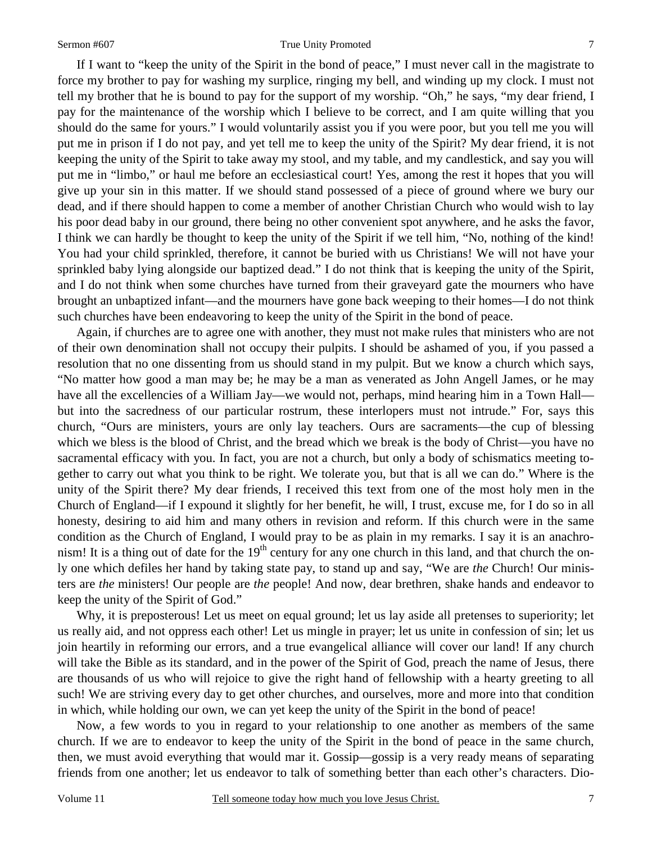If I want to "keep the unity of the Spirit in the bond of peace," I must never call in the magistrate to force my brother to pay for washing my surplice, ringing my bell, and winding up my clock. I must not tell my brother that he is bound to pay for the support of my worship. "Oh," he says, "my dear friend, I pay for the maintenance of the worship which I believe to be correct, and I am quite willing that you should do the same for yours." I would voluntarily assist you if you were poor, but you tell me you will put me in prison if I do not pay, and yet tell me to keep the unity of the Spirit? My dear friend, it is not keeping the unity of the Spirit to take away my stool, and my table, and my candlestick, and say you will put me in "limbo," or haul me before an ecclesiastical court! Yes, among the rest it hopes that you will give up your sin in this matter. If we should stand possessed of a piece of ground where we bury our dead, and if there should happen to come a member of another Christian Church who would wish to lay his poor dead baby in our ground, there being no other convenient spot anywhere, and he asks the favor, I think we can hardly be thought to keep the unity of the Spirit if we tell him, "No, nothing of the kind! You had your child sprinkled, therefore, it cannot be buried with us Christians! We will not have your sprinkled baby lying alongside our baptized dead." I do not think that is keeping the unity of the Spirit, and I do not think when some churches have turned from their graveyard gate the mourners who have brought an unbaptized infant—and the mourners have gone back weeping to their homes—I do not think such churches have been endeavoring to keep the unity of the Spirit in the bond of peace.

 Again, if churches are to agree one with another, they must not make rules that ministers who are not of their own denomination shall not occupy their pulpits. I should be ashamed of you, if you passed a resolution that no one dissenting from us should stand in my pulpit. But we know a church which says, "No matter how good a man may be; he may be a man as venerated as John Angell James, or he may have all the excellencies of a William Jay—we would not, perhaps, mind hearing him in a Town Hall but into the sacredness of our particular rostrum, these interlopers must not intrude." For, says this church, "Ours are ministers, yours are only lay teachers. Ours are sacraments—the cup of blessing which we bless is the blood of Christ, and the bread which we break is the body of Christ—you have no sacramental efficacy with you. In fact, you are not a church, but only a body of schismatics meeting together to carry out what you think to be right. We tolerate you, but that is all we can do." Where is the unity of the Spirit there? My dear friends, I received this text from one of the most holy men in the Church of England—if I expound it slightly for her benefit, he will, I trust, excuse me, for I do so in all honesty, desiring to aid him and many others in revision and reform. If this church were in the same condition as the Church of England, I would pray to be as plain in my remarks. I say it is an anachronism! It is a thing out of date for the  $19<sup>th</sup>$  century for any one church in this land, and that church the only one which defiles her hand by taking state pay, to stand up and say, "We are *the* Church! Our ministers are *the* ministers! Our people are *the* people! And now, dear brethren, shake hands and endeavor to keep the unity of the Spirit of God."

 Why, it is preposterous! Let us meet on equal ground; let us lay aside all pretenses to superiority; let us really aid, and not oppress each other! Let us mingle in prayer; let us unite in confession of sin; let us join heartily in reforming our errors, and a true evangelical alliance will cover our land! If any church will take the Bible as its standard, and in the power of the Spirit of God, preach the name of Jesus, there are thousands of us who will rejoice to give the right hand of fellowship with a hearty greeting to all such! We are striving every day to get other churches, and ourselves, more and more into that condition in which, while holding our own, we can yet keep the unity of the Spirit in the bond of peace!

 Now, a few words to you in regard to your relationship to one another as members of the same church. If we are to endeavor to keep the unity of the Spirit in the bond of peace in the same church, then, we must avoid everything that would mar it. Gossip—gossip is a very ready means of separating friends from one another; let us endeavor to talk of something better than each other's characters. Dio